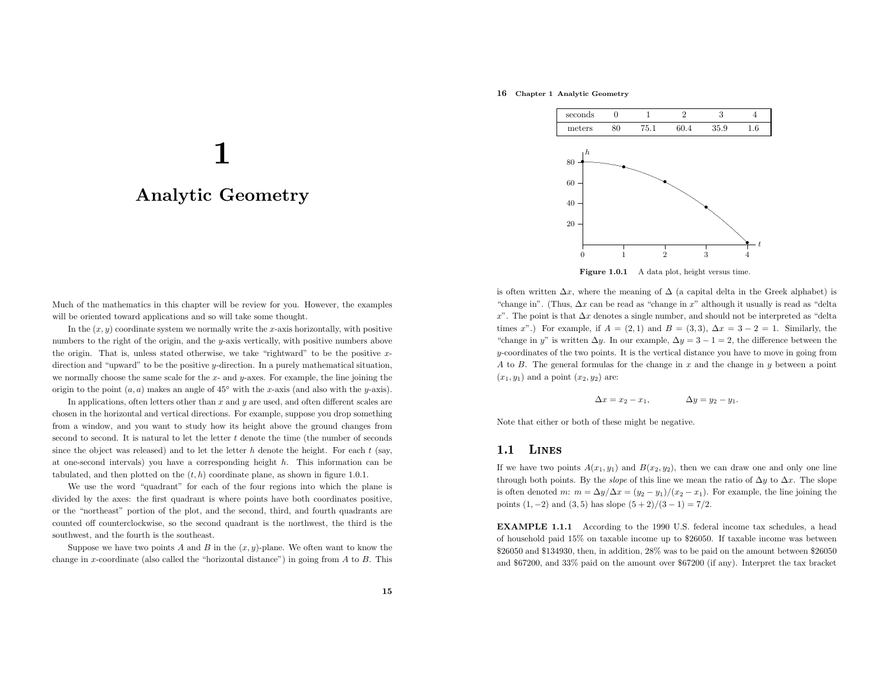# 16 Chapter <sup>1</sup> Analytic Geometry



Figure 1.0.1 <sup>A</sup> data <sup>p</sup>lot, height versus time.

is often written  $\Delta x$ , where the meaning of  $\Delta$  (a capital delta in the Greek alphabet) is "change in". (Thus,  $\Delta x$  can be read as "change in x" although it usually is read as "delta"  $x$ ". The point is that  $\Delta x$  denotes a single number, and should not be interpreted as "delta" times x".) For example, if  $A = (2, 1)$  and  $B = (3, 3)$ ,  $\Delta x = 3 - 2 = 1$ . Similarly, the "change in y" is written  $\Delta y$ . In our example,  $\Delta y = 3 - 1 = 2$ , the difference between the <sup>y</sup>-coordinates of the two points. It is the vertical distance you have to move in going fromA to B. The general formulas for the change in  $x$  and the change in  $y$  between a point  $(x_1, y_1)$  and a point  $(x_2, y_2)$  are:

$$
\Delta x = x_2 - x_1, \qquad \qquad \Delta y = y_2 - y_1.
$$

Note that either or both of these might be negative.

∆x

#### 1.1Lines

If we have two points  $A(x_1, y_1)$  and  $B(x_2, y_2)$ , then we can draw one and only one line through both points. By the *slope* of this line we mean the ratio of  $\Delta y$  to  $\Delta x$ . The slope is often denoted m:  $m = \Delta y / \Delta x = (y_2 - y_1) / (x_2 - x_1)$ . For example, the line joining the points  $(1, -2)$  and  $(3, 5)$  has slope  $(5 + 2)/(3 - 1) = 7/2$ .

EXAMPLE 1.1.1 According to the <sup>1990</sup> U.S. federal income tax schedules, <sup>a</sup> head of household paid 15% on taxable income up to \$26050. If taxable income was between \$26050 and \$134930, then, in addition, 28% was to be paid on the amount between \$26050 and \$67200, and 33% paid on the amount over \$67200 (if any). Interpret the tax bracket

# $\mathbf 1$

# Analytic Geometry

Much of the mathematics in this chapter will be review for you. However, the examples will be oriented toward applications and so will take some thought.

In the  $(x, y)$  coordinate system we normally write the x-axis horizontally, with positive numbers to the right of the origin, and the y-axis vertically, with positive numbers above the origin. That is, unless stated otherwise, we take "rightward" to be the positive  $x$ direction and "upward" to be the positive <sup>y</sup>-direction. In <sup>a</sup> purely mathematical situation, we normally choose the same scale for the  $x$ - and  $y$ -axes. For example, the line joining the origin to the point  $(a, a)$  makes an angle of 45 $\degree$  with the x-axis (and also with the y-axis).

In applications, often letters other than  $x$  and  $y$  are used, and often different scales are chosen in the horizontal and vertical directions. For example, suppose you drop something from <sup>a</sup> window, and you want to study how its height above the ground changes fromsecond to second. It is natural to let the letter  $t$  denote the time (the number of seconds since the object was released) and to let the letter  $h$  denote the height. For each  $t$  (say, at one-second intervals) you have <sup>a</sup> corresponding height <sup>h</sup>. This information can be tabulated, and then plotted on the  $(t, h)$  coordinate plane, as shown in figure 1.0.1.

We use the word "quadrant" for each of the four regions into which the <sup>p</sup>lane is divided by the axes: the first quadrant is where points have both coordinates positive, or the "northeast" portion of the <sup>p</sup>lot, and the second, third, and fourth quadrants are counted off counterclockwise, so the second quadrant is the northwest, the third is the southwest, and the fourth is the southeast.

Suppose we have two points  $A$  and  $B$  in the  $(x, y)$ -plane. We often want to know the change in x-coordinate (also called the "horizontal distance") in going from  $A$  to  $B$ . This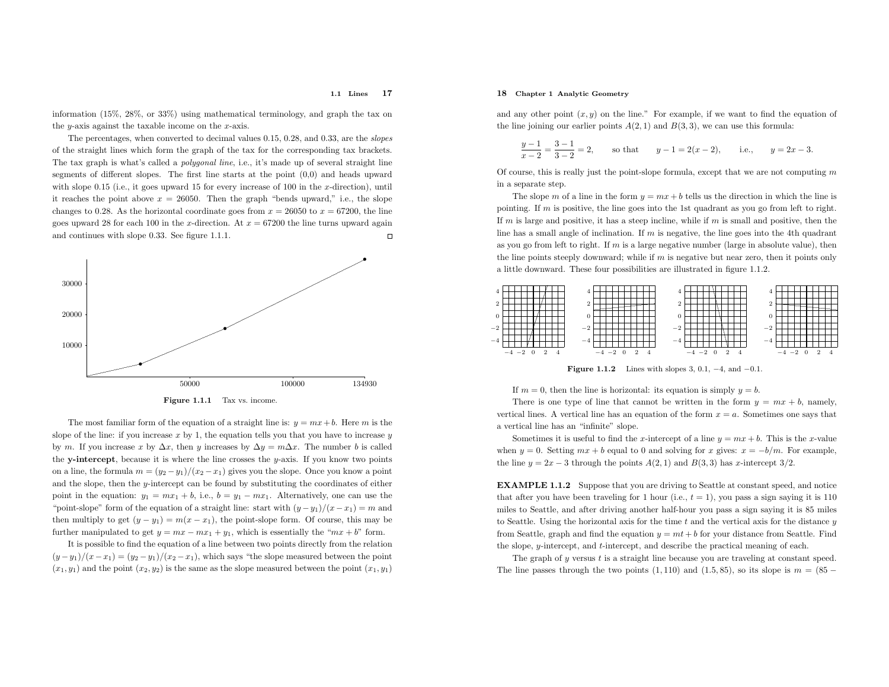#### 1.1 Lines <sup>17</sup>

information (15%, 28%, or 33%) using mathematical terminology, and grap<sup>h</sup> the tax onthe  $y$ -axis against the taxable income on the  $x$ -axis.

The percentages, when converted to decimal values 0.15, 0.28, and 0.33, are the slopes of the straight lines which form the grap<sup>h</sup> of the tax for the corresponding tax brackets. The tax graph is what's called a *polygonal line*, i.e., it's made up of several straight line segments of different slopes. The first line starts at the point (0,0) and heads upwardwith slope  $0.15$  (i.e., it goes upward  $15$  for every increase of  $100$  in the x-direction), until it reaches the point above  $x = 26050$ . Then the graph "bends upward," i.e., the slope changes to 0.28. As the horizontal coordinate goes from  $x = 26050$  to  $x = 67200$ , the line goes upward 28 for each 100 in the x-direction. At  $x = 67200$  the line turns upward again and continues with slope 0.33. See figure 1.1.1.  $\Box$ 





The most familiar form of the equation of a straight line is:  $y = mx + b$ . Here m is the slope of the line: if you increase  $x$  by 1, the equation tells you that you have to increase  $y$ by m. If you increase x by  $\Delta x$ , then y increases by  $\Delta y = m\Delta x$ . The number b is called the y-intercept, because it is where the line crosses the y-axis. If you know two points on a line, the formula  $m = (y_2 - y_1)/(x_2 - x_1)$  gives you the slope. Once you know a point and the slope, then the <sup>y</sup>-intercept can be found by substituting the coordinates of either point in the equation:  $y_1 = mx_1 + b$ , i.e.,  $b = y_1 - mx_1$ . Alternatively, one can use the "point-slope" form of the equation of a straight line: start with  $(y - y_1)/(x - x_1) = m$  and then multiply to get  $(y - y_1) = m(x - x_1)$ , the point-slope form. Of course, this may be further manipulated to get  $y = mx - mx_1 + y_1$ , which is essentially the " $mx + b$ " form.

It is possible to find the equation of <sup>a</sup> line between two points directly from the relation $(y-y_1)/(x-x_1) = (y_2-y_1)/(x_2-x_1)$ , which says "the slope measured between the point  $(x_1, y_1)$  and the point  $(x_2, y_2)$  is the same as the slope measured between the point  $(x_1, y_1)$ 

#### 18 Chapter <sup>1</sup> Analytic Geometry

and any other point  $(x, y)$  on the line." For example, if we want to find the equation of the line joining our earlier points  $A(2, 1)$  and  $B(3, 3)$ , we can use this formula:

$$
\frac{y-1}{x-2} = \frac{3-1}{3-2} = 2, \qquad \text{so that} \qquad y-1 = 2(x-2), \qquad \text{i.e.,} \qquad y = 2x - 3.
$$

Of course, this is really just the point-slope formula, except that we are not computing  $m$ in <sup>a</sup> separate step.

The slope m of a line in the form  $y = mx + b$  tells us the direction in which the line is pointing. If m is positive, the line goes into the 1st quadrant as you go from left to right. If  $m$  is large and positive, it has a steep incline, while if  $m$  is small and positive, then the line has a small angle of inclination. If  $m$  is negative, the line goes into the 4th quadrant as you go from left to right. If  $m$  is a large negative number (large in absolute value), then the line points steeply downward; while if  $m$  is negative but near zero, then it points only <sup>a</sup> little downward. These four possibilities are illustrated in figure 1.1.2.



**Figure 1.1.2** Lines with slopes 3, 0.1,  $-4$ , and  $-0.1$ .

If  $m = 0$ , then the line is horizontal: its equation is simply  $y = b$ .

There is one type of line that cannot be written in the form  $y = mx + b$ , namely, vertical lines. A vertical line has an equation of the form  $x = a$ . Sometimes one says that <sup>a</sup> vertical line has an "infinite" slope.

Sometimes it is useful to find the x-intercept of a line  $y = mx + b$ . This is the x-value when  $y = 0$ . Setting  $mx + b$  equal to 0 and solving for x gives:  $x = -b/m$ . For example, the line  $y = 2x - 3$  through the points  $A(2, 1)$  and  $B(3, 3)$  has x-intercept 3/2.

EXAMPLE 1.1.2 Suppose that you are driving to Seattle at constant speed, and notice that after you have been traveling for 1 hour (i.e.,  $t = 1$ ), you pass a sign saying it is 110 miles to Seattle, and after driving another half-hour you pass <sup>a</sup> sign saying it is <sup>85</sup> miles to Seattle. Using the horizontal axis for the time t and the vertical axis for the distance  $y$ from Seattle, graph and find the equation  $y = mt + b$  for your distance from Seattle. Find the slope, <sup>y</sup>-intercept, and <sup>t</sup>-intercept, and describe the practical meaning of each.

The graph of  $y$  versus  $t$  is a straight line because you are traveling at constant speed. The line passes through the two points  $(1, 110)$  and  $(1.5, 85)$ , so its slope is  $m = (85 -$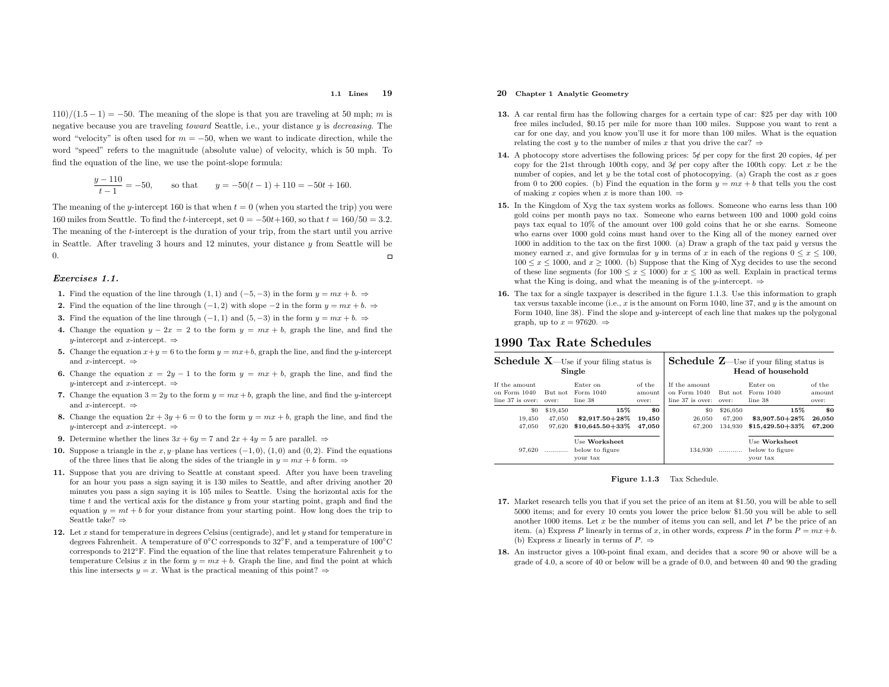#### 1.1 Lines <sup>19</sup>

 $(110)/(1.5-1) = -50$ . The meaning of the slope is that you are traveling at 50 mph; *m* is negative because you are traveling toward Seattle, i.e., your distance <sup>y</sup> is decreasing. The word "velocity" is often used for  $m = -50$ , when we want to indicate direction, while the word "speed" refers to the magnitude (absolute value) of velocity, which is <sup>50</sup> mph. To find the equation of the line, we use the point-slope formula:

$$
\frac{y-110}{t-1} = -50, \qquad \text{so that} \qquad y = -50(t-1) + 110 = -50t + 160.
$$

The meaning of the *y*-intercept 160 is that when  $t = 0$  (when you started the trip) you were 160 miles from Seattle. To find the t-intercept, set  $0 = -50t+160$ , so that  $t = 160/50 = 3.2$ . The meaning of the <sup>t</sup>-intercept is the duration of your trip, from the start until you arrive in Seattle. After traveling 3 hours and 12 minutes, your distance  $y$  from Seattle will be 0. $\Box$ 

#### Exercises 1.1.

- 1. Find the equation of the line through (1, 1) and  $(-5, -3)$  in the form  $y = mx + b$ . ⇒
- 2. Find the equation of the line through  $(-1, 2)$  with slope  $-2$  in the form  $y = mx + b$ . ⇒
- **3.** Find the equation of the line through  $(-1, 1)$  and  $(5, -3)$  in the form  $y = mx + b$ .  $\Rightarrow$
- 4. Change the equation  $y 2x = 2$  to the form  $y = mx + b$ , graph the line, and find the y-intercept and x-intercept.  $\Rightarrow$
- 5. Change the equation  $x+y=6$  to the form  $y = mx+b$ , graph the line, and find the y-intercept and x-intercept.  $\Rightarrow$
- 6. Change the equation  $x = 2y 1$  to the form  $y = mx + b$ , graph the line, and find the y-intercept and x-intercept.  $\Rightarrow$
- 7. Change the equation  $3 = 2y$  to the form  $y = mx + b$ , graph the line, and find the y-intercept and x-intercept.  $\Rightarrow$
- 8. Change the equation  $2x + 3y + 6 = 0$  to the form  $y = mx + b$ , graph the line, and find the y-intercept and x-intercept.  $\Rightarrow$
- **9.** Determine whether the lines  $3x + 6y = 7$  and  $2x + 4y = 5$  are parallel.  $\Rightarrow$
- **10.** Suppose a triangle in the  $x, y$ –plane has vertices  $(-1, 0)$ ,  $(1, 0)$  and  $(0, 2)$ . Find the equations of the three lines that lie along the sides of the triangle in  $y = mx + b$  form.  $\Rightarrow$
- 11. Suppose that you are driving to Seattle at constant speed. After you have been traveling for an hour you pass <sup>a</sup> sign saying it is <sup>130</sup> miles to Seattle, and after driving another <sup>20</sup> minutes you pass <sup>a</sup> sign saying it is <sup>105</sup> miles to Seattle. Using the horizontal axis for the time <sup>t</sup> and the vertical axis for the distance <sup>y</sup> from your starting point, grap<sup>h</sup> and find the equation  $y = mt + b$  for your distance from your starting point. How long does the trip to Seattle take? ⇒
- **12.** Let  $x$  stand for temperature in degrees Celsius (centigrade), and let  $y$  stand for temperature in degrees Fahrenheit. <sup>A</sup> temperature of <sup>0</sup>◦<sup>C</sup> corresponds to <sup>32</sup>◦F, and <sup>a</sup> temperature of <sup>100</sup>◦Ccorresponds to  $212°$ F. Find the equation of the line that relates temperature Fahrenheit y to temperature Celsius x in the form  $y = mx + b$ . Graph the line, and find the point at which temperature Celsius x in the form  $y = mx + b$ . Graph the line, and find this line intersects  $y = x$ . What is the practical meaning of this point?  $\Rightarrow$

### 20 Chapter <sup>1</sup> Analytic Geometry

- 13. <sup>A</sup> car rental firm has the following charges for <sup>a</sup> certain type of car: \$25 per day with <sup>100</sup> free miles included, \$0.15 per mile for more than <sup>100</sup> miles. Suppose you want to rent <sup>a</sup> car for one day, and you know you'll use it for more than <sup>100</sup> miles. What is the equationrelating the cost y to the number of miles x that you drive the car?  $\Rightarrow$
- **14.** A photocopy store advertises the following prices:  $5¢$  per copy for the first 20 copies,  $4¢$  per copy for the 21st through 100th copy, and  $3\notin$  per copy after the 100th copy. Let x be the number of copies, and let  $y$  be the total cost of photocopying. (a) Graph the cost as  $x$  goes from 0 to 200 copies. (b) Find the equation in the form  $y = mx + b$  that tells you the cost<br>of realition a series when a is mean than 100 of making x copies when x is more than 100.  $\Rightarrow$
- 15. In the Kingdom of Xyg the tax system works as follows. Someone who earns less than <sup>100</sup> gold coins per month pays no tax. Someone who earns between <sup>100</sup> and <sup>1000</sup> gold coins pays tax equa<sup>l</sup> to 10% of the amount over <sup>100</sup> gold coins that he or she earns. Someone who earns over <sup>1000</sup> gold coins must hand over to the King all of the money earned over <sup>1000</sup> in addition to the tax on the first 1000. (a) Draw <sup>a</sup> grap<sup>h</sup> of the tax paid <sup>y</sup> versus the money earned x, and give formulas for y in terms of x in each of the regions  $0 \le x \le 100$ ,<br>100  $\le x \le 1000$ , and  $x > 1000$ , (b) Summary that the King of X and video to get the second  $100 \le x \le 1000$ , and  $x \ge 1000$ . (b) Suppose that the King of Xyg decides to use the second of these line segments (for  $100 \le x \le 1000$ ) for  $x \le 100$  as well. Explain in practical terms what the King is doing, and what the meaning is of the y-intercept.  $\Rightarrow$
- 16. The tax for <sup>a</sup> single taxpayer is described in the figure 1.1.3. Use this information to grap<sup>h</sup>tax versus taxable income (i.e.,  $x$  is the amount on Form 1040, line 37, and  $y$  is the amount on Form 1040, line 38). Find the slope and <sup>y</sup>-intercept of each line that makes up the polygonal graph, up to  $x = 97620$ .  $\Rightarrow$

# <sup>1990</sup> Tax Rate Schedules

| <b>Schedule X</b> —Use if your filing status is   |                  |                                              |                           | <b>Schedule Z</b> —Use if your filing status is   |                  |                                              |                           |
|---------------------------------------------------|------------------|----------------------------------------------|---------------------------|---------------------------------------------------|------------------|----------------------------------------------|---------------------------|
| Single                                            |                  |                                              |                           | Head of household                                 |                  |                                              |                           |
| If the amount<br>on Form 1040<br>line 37 is over: | But not<br>over: | Enter on<br>Form 1040<br>line 38             | of the<br>amount<br>over: | If the amount<br>on Form 1040<br>line 37 is over: | But not<br>over: | Enter on<br>Form 1040<br>line 38             | of the<br>amount<br>over: |
| \$0                                               | \$19,450         | 15%                                          | \$0                       | \$0                                               | \$26,050         | 15%                                          | \$0                       |
| 19.450                                            | 47.050           | $$2,917.50 + 28\%$                           | 19,450                    | 26,050                                            | 67.200           | \$3,907.50+28%                               | 26,050                    |
| 47.050                                            | 97.620           | $$10.645.50 + 33\%$                          | 47,050                    | 67.200                                            | 134.930          | $$15.429.50 + 33\%$                          | 67,200                    |
| 97.620                                            | .                | Use Worksheet<br>below to figure<br>vour tax |                           | 134.930                                           | .                | Use Worksheet<br>below to figure<br>your tax |                           |

# Figure 1.1.3 Tax Schedule.

- 17. Market research tells you that if you set the price of an item at \$1.50, you will be able to sell <sup>5000</sup> items; and for every <sup>10</sup> cents you lower the price below \$1.50 you will be able to sell another 1000 items. Let x be the number of items you can sell, and let P be the price of an item. (a) Express P linearly in terms of x, in other words, express P in the form  $P = mx + b$ . (b) Express x linearly in terms of  $P. \Rightarrow$
- 18. An instructor <sup>g</sup>ives <sup>a</sup> 100-point final exam, and decides that <sup>a</sup> score <sup>90</sup> or above will be <sup>a</sup>grade of 4.0, <sup>a</sup> score of <sup>40</sup> or below will be <sup>a</sup> grade of 0.0, and between <sup>40</sup> and <sup>90</sup> the grading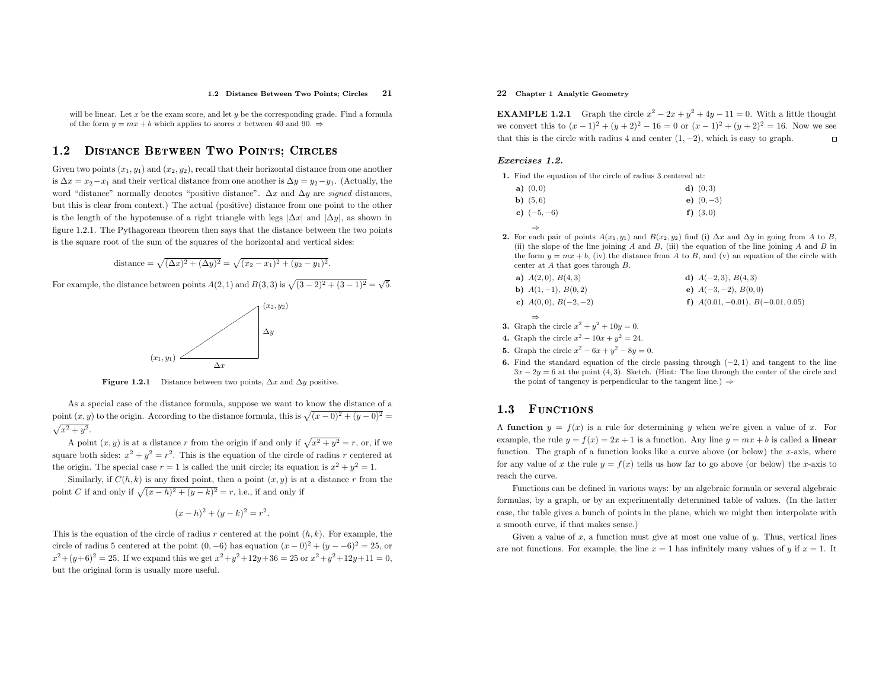#### 1.2 Distance Between Two Points; Circles <sup>21</sup>

will be linear. Let  $x$  be the exam score, and let  $y$  be the corresponding grade. Find a formula of the form  $y = mx + b$  which applies to scores x between 40 and 90.  $\Rightarrow$ 

# 1.2 Distan
e Between Two Points; Cir
les

Given two points  $(x_1, y_1)$  and  $(x_2, y_2)$ , recall that their horizontal distance from one another is  $\Delta x = x_2 - x_1$  and their vertical distance from one another is  $\Delta y = y_2 - y_1$ . (Actually, the word "distance" normally denotes "positive distance".  $\Delta x$  and  $\Delta y$  are *signed* distances, but this is clear from context.) The actual (positive) distance from one point to the other is the length of the hypotenuse of a right triangle with legs  $|\Delta x|$  and  $|\Delta y|$ , as shown in figure 1.2.1. The Pythagorean theorem then says that the distance between the two points is the square root of the sum of the squares of the horizontal and vertical sides:

distance = 
$$
\sqrt{(\Delta x)^2 + (\Delta y)^2} = \sqrt{(x_2 - x_1)^2 + (y_2 - y_1)^2}
$$
.

For example, the distance between points  $A(2, 1)$  and  $B(3, 3)$  is  $\sqrt{(3-2)^2 + (3-1)^2} = \sqrt{5}$ .



**Figure 1.2.1** Distance between two points,  $\Delta x$  and  $\Delta y$  positive.

As <sup>a</sup> special case of the distance formula, suppose we want to know the distance of <sup>a</sup> point  $(x, y)$  to the origin. According to the distance formula, this is  $\sqrt{(x-0)^2 + (y-0)^2} =$  $\sqrt{x^2+y^2}$ .

A point  $(x, y)$  is at a distance r from the origin if and only if  $\sqrt{x^2 + y^2} = r$ , or, if we square both sides:  $x^2 + y^2 = r^2$ . This is the equation of the circle of radius r centered at the origin. The special case  $r = 1$  is called the unit circle; its equation is  $x^2 + y^2 = 1$ .

Similarly, if  $C(h, k)$  is any fixed point, then a point  $(x, y)$  is at a distance r from the point C if and only if  $\sqrt{(x-h)^2 + (y-k)^2} = r$ , i.e., if and only if

$$
(x-h)^2 + (y-k)^2 = r^2.
$$

This is the equation of the circle of radius r centered at the point  $(h, k)$ . For example, the circle of radius 5 centered at the point  $(0, -6)$  has equation  $(x - 0)^2 + (y - 6)^2 = 25$ , or  $x^2+(y+6)^2 = 25$ . If we expand this we get  $x^2+y^2+12y+36 = 25$  or  $x^2+y^2+12y+11 = 0$ , but the original form is usually more useful.

### 22 Chapter <sup>1</sup> Analytic Geometry

**EXAMPLE 1.2.1** Graph the circle  $x^2 - 2x + y^2 + 4y - 11 = 0$ . With a little thought we convert this to  $(x-1)^2 + (y+2)^2 - 16 = 0$  or  $(x-1)^2 + (y+2)^2 = 16$ . Now we see that this is the circle with radius 4 and center  $(1, -2)$ , which is easy to graph.  $\Box$ 

#### Exercises 1.2.

⇒

1. Find the equation of the circle of radius <sup>3</sup> centered at:

| a) (0,0)           | $d)$ $(0,3)$   |
|--------------------|----------------|
| <b>b</b> ) $(5,6)$ | $e)$ $(0, -3)$ |
| c) $(-5,-6)$       | $f)$ $(3,0)$   |

2. For each pair of points  $A(x_1, y_1)$  and  $B(x_2, y_2)$  find (i)  $\Delta x$  and  $\Delta y$  in going from A to B, (ii) the slope of the line joining  $A$  and  $B$ , (iii) the equation of the line joining  $A$  and  $B$  in the form  $y = mx + b$ , (iv) the distance from A to B, and (v) an equation of the circle with center at A that goes through B.

| a) $A(2,0), B(4,3)$                                | <b>d</b> ) $A(-2,3)$ , $B(4,3)$     |
|----------------------------------------------------|-------------------------------------|
| <b>b</b> ) $A(1,-1), B(0,2)$                       | e) $A(-3,-2), B(0,0)$               |
| c) $A(0,0), B(-2,-2)$                              | f) $A(0.01, -0.01), B(-0.01, 0.05)$ |
| $\Rightarrow$                                      |                                     |
| <b>3.</b> Graph the circle $x^2 + y^2 + 10y = 0$ . |                                     |

3. Graph the circle  $x^2 + y^2 + 10y = 0$ .<br>4. Graph the circle  $x^2 - 10x + y^2 = 24$ .

- **5.** Graph the circle  $x^2 6x + y^2 8y = 0$ .
- 6. Find the standard equation of the circle passing through (−2, 1) and tangent to the line  $3x - 2y = 6$  at the point (4, 3). Sketch. (Hint: The line through the center of the circle and the point of tangency is perpendicular to the tangent line.)  $\Rightarrow$

#### 1.3**FUNCTIONS**

A function  $y = f(x)$  is a rule for determining y when we're given a value of x. For example, the rule  $y = f(x) = 2x + 1$  is a function. Any line  $y = mx + b$  is called a linear function. The graph of a function looks like a curve above (or below) the x-axis, where for any value of x the rule  $y = f(x)$  tells us how far to go above (or below) the x-axis to reach the curve.

Functions can be defined in various ways: by an algebraic formula or several algebraic formulas, by <sup>a</sup> graph, or by an experimentally determined table of values. (In the latter case, the table <sup>g</sup>ives <sup>a</sup> bunch of points in the <sup>p</sup>lane, which we might then interpolate with<sup>a</sup> smooth curve, if that makes sense.)

Given a value of  $x$ , a function must give at most one value of  $y$ . Thus, vertical lines are not functions. For example, the line  $x = 1$  has infinitely many values of y if  $x = 1$ . It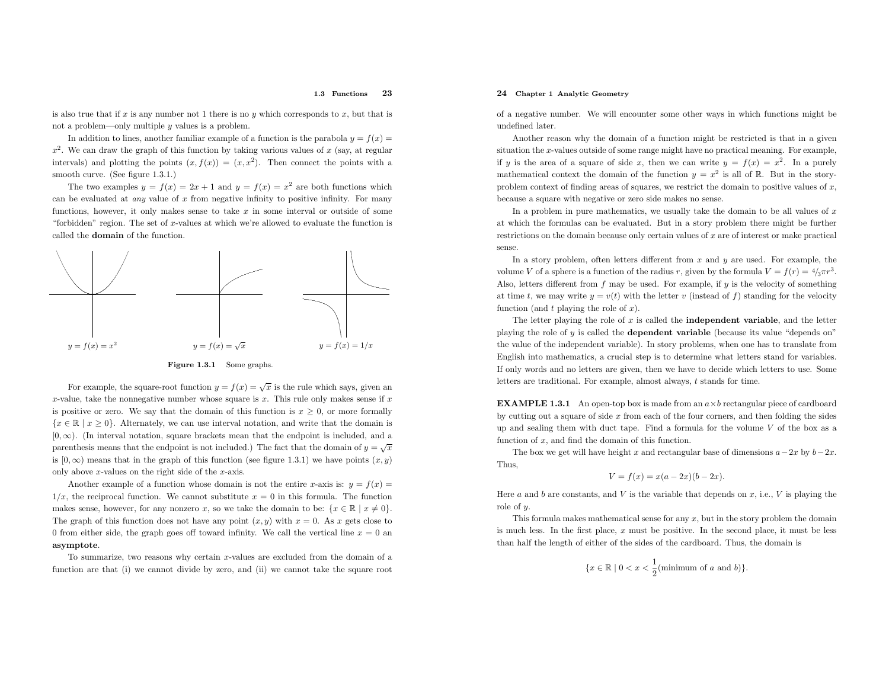#### 1.3 Functions <sup>23</sup>

is also true that if x is any number not 1 there is no y which corresponds to x, but that is not a problem—only multiple  $y$  values is a problem.

In addition to lines, another familiar example of a function is the parabola  $y = f(x) =$  $x^2$ . We can draw the graph of this function by taking various values of x (say, at regular intervals) and plotting the points  $(x, f(x)) = (x, x^2)$ . Then connect the points with a smooth curve. (See figure 1.3.1.)

The two examples  $y = f(x) = 2x + 1$  and  $y = f(x) = x^2$  are both functions which can be evaluated at *any* value of  $x$  from negative infinity to positive infinity. For many functions, however, it only makes sense to take  $x$  in some interval or outside of some "forbidden" region. The set of x-values at which we're allowed to evaluate the function is called the **domain** of the function.





only above <sup>x</sup>-values on the right side of the <sup>x</sup>-axis.

Another example of a function whose domain is not the entire x-axis is:  $y = f(x) =$  $1/x$ , the reciprocal function. We cannot substitute  $x = 0$  in this formula. The function makes sense, however, for any nonzero x, so we take the domain to be:  $\{x \in \mathbb{R} \mid x \neq 0\}$ . The graph of this function does not have any point  $(x, y)$  with  $x = 0$ . As x gets close to 0 from either side, the graph goes off toward infinity. We call the vertical line  $x = 0$  and asymptote.

To summarize, two reasons why certain <sup>x</sup>-values are excluded from the domain of <sup>a</sup> function are that (i) we cannot divide by zero, and (ii) we cannot take the square root

#### 24 Chapter <sup>1</sup> Analytic Geometry

of <sup>a</sup> negative number. We will encounter some other ways in which functions might be undefined later.

Another reason why the domain of <sup>a</sup> function might be restricted is that in <sup>a</sup> <sup>g</sup>iven situation the <sup>x</sup>-values outside of some range might have no practical meaning. For example, if y is the area of a square of side x, then we can write  $y = f(x) = x^2$ . In a purely mathematical context the domain of the function  $y = x^2$  is all of  $\mathbb{R}$ . But in the storyproblem context of finding areas of squares, we restrict the domain to positive values of  $x$ , because <sup>a</sup> square with negative or zero side makes no sense.

In a problem in pure mathematics, we usually take the domain to be all values of  $x$  at which the formulas can be evaluated. But in <sup>a</sup> story problem there might be further restrictions on the domain because only certain values of  $x$  are of interest or make practical sense.

In a story problem, often letters different from  $x$  and  $y$  are used. For example, the volume V of a sphere is a function of the radius r, given by the formula  $V = f(r) = 4/3\pi r^3$ . Also, letters different from  $f$  may be used. For example, if  $y$  is the velocity of something at time t, we may write  $y = v(t)$  with the letter v (instead of f) standing for the velocity function (and  $t$  playing the role of  $x$ ).

The letter playing the role of  $x$  is called the **independent variable**, and the letter playing the role of  $y$  is called the **dependent variable** (because its value "depends on" the value of the independent variable). In story problems, when one has to translate from English into mathematics, <sup>a</sup> crucial step is to determine what letters stand for variables. If only words and no letters are <sup>g</sup>iven, then we have to decide which letters to use. Some letters are traditional. For example, almost always, <sup>t</sup> stands for time.

**EXAMPLE 1.3.1** An open-top box is made from an  $a \times b$  rectangular piece of cardboard by cutting out a square of side  $x$  from each of the four corners, and then folding the sides up and sealing them with duct tape. Find a formula for the volume  $V$  of the box as a function of <sup>x</sup>, and find the domain of this function.

The box we get will have height x and rectangular base of dimensions  $a-2x$  by  $b-2x$ . Thus,

$$
V = f(x) = x(a - 2x)(b - 2x).
$$

Here  $a$  and  $b$  are constants, and  $V$  is the variable that depends on  $x$ , i.e.,  $V$  is playing the role of <sup>y</sup>.

This formula makes mathematical sense for any  $x$ , but in the story problem the domain is much less. In the first place,  $x$  must be positive. In the second place, it must be less than half the length of either of the sides of the cardboard. Thus, the domain is

$$
\{x \in \mathbb{R} \mid 0 < x < \frac{1}{2}(\text{minimum of } a \text{ and } b)\}.
$$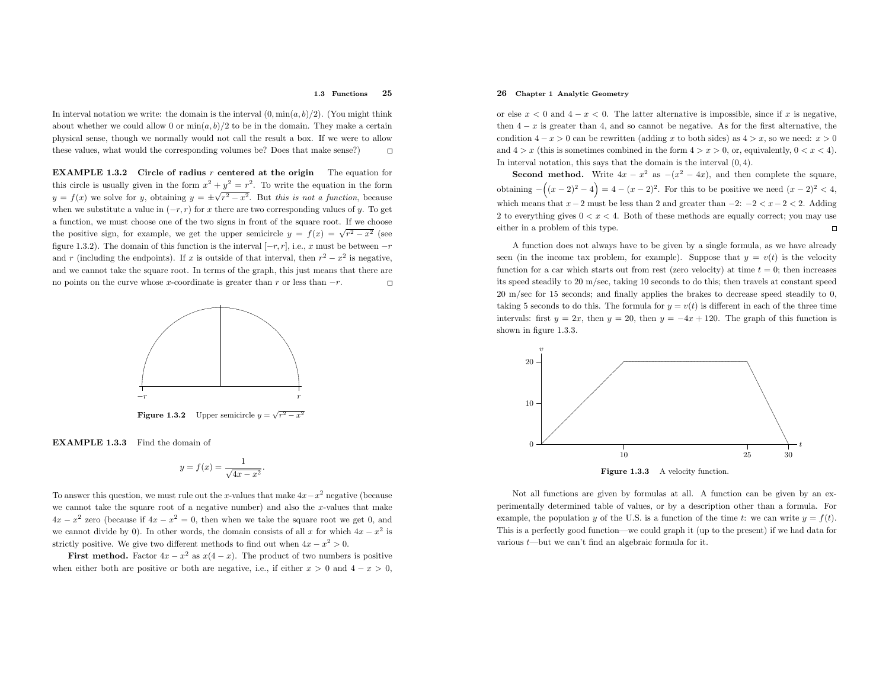#### 1.3 Functions <sup>25</sup>

In interval notation we write: the domain is the interval  $(0, \min(a, b)/2)$ . (You might think about whether we could allow 0 or  $\min(a, b)/2$  to be in the domain. They make a certain <sup>p</sup>hysical sense, though we normally would not call the result <sup>a</sup> box. If we were to allow $\Box$ these values, what would the corresponding volumes be? Does that make sense?)

**EXAMPLE 1.3.2** Circle of radius r centered at the origin The equation for this circle is usually given in the form  $x^2 + y^2 = r^2$ . To write the equation in the form  $y = f(x)$  we solve for y, obtaining  $y = \pm \sqrt{r^2 - x^2}$ . But this is not a function, because when we substitute a value in  $(-r, r)$  for x there are two corresponding values of y. To get <sup>a</sup> function, we must choose one of the two signs in front of the square root. If we choose the positive sign, for example, we get the upper semicircle  $y = f(x) = \sqrt{r^2 - x^2}$  (see figure 1.3.2). The domain of this function is the interval  $[-r, r]$ , i.e., x must be between  $-r$ and r (including the endpoints). If x is outside of that interval, then  $r^2 - x^2$  is negative, and we cannot take the square root. In terms of the graph, this just means that there are no points on the curve whose x-coordinate is greater than r or less than  $-r$ .  $\Box$ 



**Figure 1.3.2** Upper semicircle  $y = \sqrt{r^2 - x^2}$ 

EXAMPLE 1.3.3 Find the domain of

$$
y = f(x) = \frac{1}{\sqrt{4x - x^2}}.
$$

To answer this question, we must rule out the x-values that make  $4x-x^2$  negative (because we cannot take the square root of a negative number) and also the  $x$ -values that make  $4x - x^2$  zero (because if  $4x - x^2 = 0$ , then when we take the square root we get 0, and we cannot divide by 0). In other words, the domain consists of all x for which  $4x - x^2$  is strictly positive. We give two different methods to find out when  $4x - x^2 > 0$ .

**First method.** Factor  $4x - x^2$  as  $x(4 - x)$ . The product of two numbers is positive when either both are positive or both are negative, i.e., if either  $x > 0$  and  $4 - x > 0$ ,

#### 26 Chapter <sup>1</sup> Analytic Geometry

or else  $x < 0$  and  $4 - x < 0$ . The latter alternative is impossible, since if x is negative, then  $4 - x$  is greater than 4, and so cannot be negative. As for the first alternative, the condition  $4 - x > 0$  can be rewritten (adding x to both sides) as  $4 > x$ , so we need:  $x > 0$ and  $4 > x$  (this is sometimes combined in the form  $4 > x > 0$ , or, equivalently,  $0 < x < 4$ ). In interval notation, this says that the domain is the interval (0, 4).

Second method. Write  $4x - x^2$  as  $-(x^2 - 4x)$ , and then complete the square, obtaining  $-\left((x-2)^2-4\right) = 4 - (x-2)^2$ . For this to be positive we need  $(x-2)^2 < 4$ , which means that  $x-2$  must be less than 2 and greater than  $-2$ :  $-2 < x-2 < 2$ . Adding 2 to everything gives  $0 < x < 4$ . Both of these methods are equally correct; you may use either in <sup>a</sup> problem of this type.

<sup>A</sup> function does not always have to be <sup>g</sup>iven by <sup>a</sup> single formula, as we have alreadyseen (in the income tax problem, for example). Suppose that  $y = v(t)$  is the velocity function for a car which starts out from rest (zero velocity) at time  $t = 0$ ; then increases its speed steadily to <sup>20</sup> m/sec, taking <sup>10</sup> seconds to do this; then travels at constant speed <sup>20</sup> m/sec for <sup>15</sup> seconds; and finally applies the brakes to decrease speed steadily to 0, taking 5 seconds to do this. The formula for  $y = v(t)$  is different in each of the three time intervals: first  $y = 2x$ , then  $y = 20$ , then  $y = -4x + 120$ . The graph of this function is shown in figure 1.3.3.



Not all functions are <sup>g</sup>iven by formulas at all. <sup>A</sup> function can be <sup>g</sup>iven by an experimentally determined table of values, or by <sup>a</sup> description other than <sup>a</sup> formula. For example, the population y of the U.S. is a function of the time t: we can write  $y = f(t)$ . This is <sup>a</sup> perfectly good function—we could grap<sup>h</sup> it (up to the present) if we had data for various <sup>t</sup>—but we can't find an algebraic formula for it.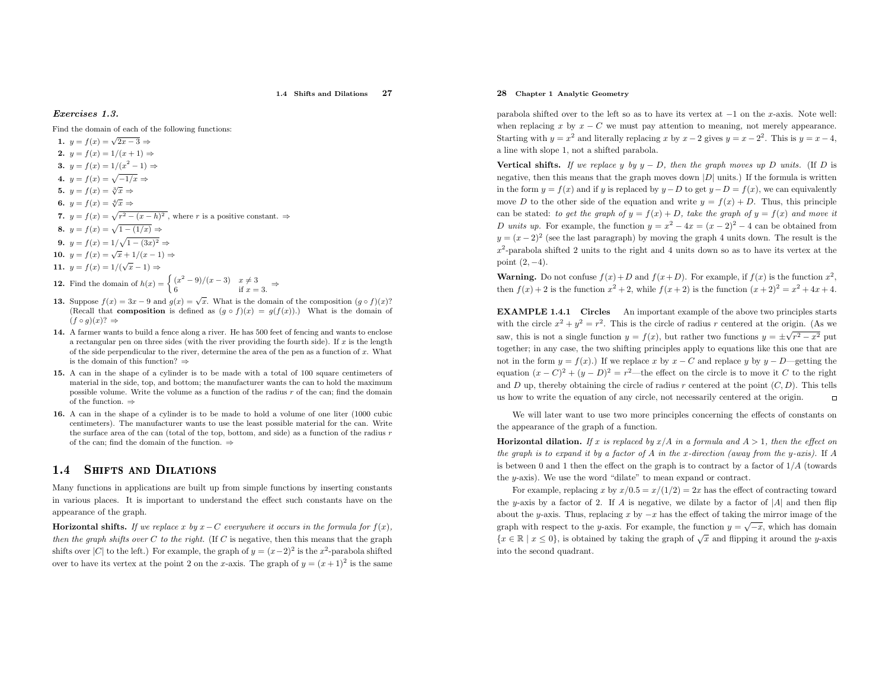#### 1.4 Shifts and Dilations <sup>27</sup>

#### Exercises 1.3.

Find the domain of each of the following functions:

1.  $y = f(x) = \sqrt{2x - 3} \Rightarrow$ 2.  $y = f(x) = 1/(x+1) \Rightarrow$ 3.  $y = f(x) = 1/(x^2 - 1) \Rightarrow$ 4.  $y = f(x) = \sqrt{-1/x} \Rightarrow$ 5.  $y = f(x) = \sqrt[3]{x} \Rightarrow$ 6.  $y = f(x) = \sqrt[4]{x} \Rightarrow$ 7.  $y = f(x) = \sqrt{r^2 - (x - h)^2}$ , where r is a positive constant.  $\Rightarrow$ 8.  $y = f(x) = \sqrt{1 - (1/x)} \Rightarrow$ 9.  $y = f(x) = 1/\sqrt{1 - (3x)^2} \Rightarrow$ 10.  $y = f(x) = \sqrt{x} + \frac{1}{x-1}$ 11.  $y = f(x) = 1/(\sqrt{x} - 1) \Rightarrow$ 11.  $y = f(x) = 1/(\sqrt{x-1}) \Rightarrow$ <br>12. Find the domain of  $h(x) = \begin{cases} (x, \\ 6 \end{cases}$ 

- $(x^{2}-9)/(x-3)$   $x \neq 3$ <br>6 if  $x = 3$ . 13. Suppose  $f(x) = 3x - 9$  and  $g(x) = \sqrt{x}$ . What is the domain of the composition  $(g \circ f)(x)$ ?
- (Recall that **composition** is defined as  $(g \circ f)(x) = g(f(x))$ .) What is the domain of  $(f \circ g)(x)? \Rightarrow$
- 14. <sup>A</sup> farmer wants to build <sup>a</sup> fence along <sup>a</sup> river. He has <sup>500</sup> feet of fencing and wants to enclose a rectangular pen on three sides (with the river providing the fourth side). If  $x$  is the length of the side perpendicular to the river, determine the area of the pen as a function of  $x$ . What is the domain of this function?  $\Rightarrow$
- 15. <sup>A</sup> can in the shape of <sup>a</sup> cylinder is to be made with <sup>a</sup> total of <sup>100</sup> square centimeters of material in the side, top, and bottom; the manufacturer wants the can to hold the maximum possible volume. Write the volume as <sup>a</sup> function of the radius <sup>r</sup> of the can; find the domainof the function.  $\Rightarrow$
- 16. <sup>A</sup> can in the shape of <sup>a</sup> cylinder is to be made to hold <sup>a</sup> volume of one liter (1000 cubic centimeters). The manufacturer wants to use the least possible material for the can. Write the surface area of the can (total of the top, bottom, and side) as a function of the radius  $r$ of the can; find the domain of the function.  $\Rightarrow$

#### 1.4Shifts and Dilations

Many functions in applications are built up from simple functions by inserting constants in various <sup>p</sup>laces. It is important to understand the effect such constants have on the appearance of the graph.

**Horizontal shifts.** If we replace x by  $x - C$  everywhere it occurs in the formula for  $f(x)$ , then the graph shifts over  $C$  to the right. (If  $C$  is negative, then this means that the graph shifts over |C| to the left.) For example, the graph of  $y = (x-2)^2$  is the  $x^2$ -parabola shifted over to have its vertex at the point 2 on the x-axis. The graph of  $y = (x+1)^2$  is the same

## 28 Chapter <sup>1</sup> Analytic Geometry

parabola shifted over to the left so as to have its vertex at  $-1$  on the x-axis. Note well: when replacing x by  $x - C$  we must pay attention to meaning, not merely appearance. Starting with  $y = x^2$  and literally replacing x by  $x - 2$  gives  $y = x - 2^2$ . This is  $y = x - 4$ , <sup>a</sup> line with slope 1, not <sup>a</sup> shifted parabola.

Vertical shifts. If we replace y by  $y - D$ , then the graph moves up D units. (If D is negative, then this means that the graph moves down  $|D|$  units.) If the formula is written in the form  $y = f(x)$  and if y is replaced by  $y - D$  to get  $y - D = f(x)$ , we can equivalently move D to the other side of the equation and write  $y = f(x) + D$ . Thus, this principle can be stated: to get the graph of  $y = f(x) + D$ , take the graph of  $y = f(x)$  and move it D units up. For example, the function  $y = x^2 - 4x = (x - 2)^2 - 4$  can be obtained from  $y = (x - 2)^2$  (see the last paragraph) by moving the graph 4 units down. The result is the  $x^2$ -parabola shifted 2 units to the right and 4 units down so as to have its vertex at the point  $(2, -4)$ .

**Warning.** Do not confuse  $f(x) + D$  and  $f(x+D)$ . For example, if  $f(x)$  is the function  $x^2$ , then  $f(x) + 2$  is the function  $x^2 + 2$ , while  $f(x + 2)$  is the function  $(x + 2)^2 = x^2 + 4x + 4$ .

EXAMPLE 1.4.1 Circles An important example of the above two principles starts with the circle  $x^2 + y^2 = r^2$ . This is the circle of radius r centered at the origin. (As we saw, this is not a single function  $y = f(x)$ , but rather two functions  $y = \pm \sqrt{r^2 - x^2}$  put together; in any case, the two shifting principles apply to equations like this one that are not in the form  $y = f(x)$ .) If we replace x by  $x - C$  and replace y by  $y - D$ —getting the equation  $(x - C)^2 + (y - D)^2 = r^2$ —the effect on the circle is to move it C to the right and D up, thereby obtaining the circle of radius r centered at the point  $(C, D)$ . This tells us how to write the equation of any circle, not necessarily centered at the origin.

We will later want to use two more principles concerning the effects of constants onthe appearance of the grap<sup>h</sup> of <sup>a</sup> function.

**Horizontal dilation.** If x is replaced by  $x/A$  in a formula and  $A > 1$ , then the effect on the graph is to expand it by a factor of A in the x-direction (away from the y-axis). If A is between 0 and 1 then the effect on the graph is to contract by a factor of  $1/A$  (towards the <sup>y</sup>-axis). We use the word "dilate" to mean expand or contract.

For example, replacing x by  $x/0.5 = x/(1/2) = 2x$  has the effect of contracting toward the y-axis by a factor of 2. If A is negative, we dilate by a factor of  $|A|$  and then flip about the y-axis. Thus, replacing x by  $-x$  has the effect of taking the mirror image of the graph with respect to the y-axis. For example, the function  $y = \sqrt{-x}$ , which has domain  $\{x \in \mathbb{R} \mid x \leq 0\}$ , is obtained by taking the graph of  $\sqrt{x}$  and flipping it around the y-axis into the second quadrant.